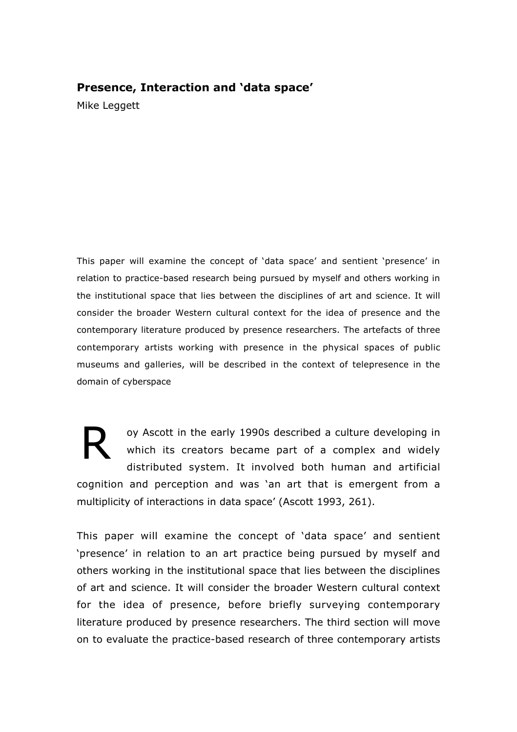## **Presence, Interaction and 'data space'**

Mike Leggett

This paper will examine the concept of 'data space' and sentient 'presence' in relation to practice-based research being pursued by myself and others working in the institutional space that lies between the disciplines of art and science. It will consider the broader Western cultural context for the idea of presence and the contemporary literature produced by presence researchers. The artefacts of three contemporary artists working with presence in the physical spaces of public museums and galleries, will be described in the context of telepresence in the domain of cyberspace

R oy Ascott in the early 1990s described a culture developing in which its creators became part of a complex and widely distributed system. It involved both human and artificial cognition and perception and was 'an art that is emergent from a multiplicity of interactions in data space' (Ascott 1993, 261).

This paper will examine the concept of 'data space' and sentient 'presence' in relation to an art practice being pursued by myself and others working in the institutional space that lies between the disciplines of art and science. It will consider the broader Western cultural context for the idea of presence, before briefly surveying contemporary literature produced by presence researchers. The third section will move on to evaluate the practice-based research of three contemporary artists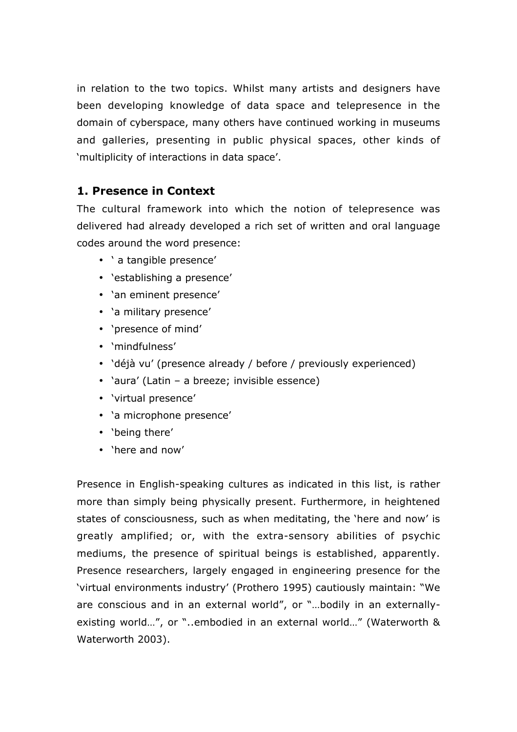in relation to the two topics. Whilst many artists and designers have been developing knowledge of data space and telepresence in the domain of cyberspace, many others have continued working in museums and galleries, presenting in public physical spaces, other kinds of 'multiplicity of interactions in data space'.

# **1. Presence in Context**

The cultural framework into which the notion of telepresence was delivered had already developed a rich set of written and oral language codes around the word presence:

- ' a tangible presence'
- 'establishing a presence'
- 'an eminent presence'
- 'a military presence'
- 'presence of mind'
- 'mindfulness'
- 'déjà vu' (presence already / before / previously experienced)
- 'aura' (Latin a breeze; invisible essence)
- 'virtual presence'
- 'a microphone presence'
- 'being there'
- 'here and now'

Presence in English-speaking cultures as indicated in this list, is rather more than simply being physically present. Furthermore, in heightened states of consciousness, such as when meditating, the 'here and now' is greatly amplified; or, with the extra-sensory abilities of psychic mediums, the presence of spiritual beings is established, apparently. Presence researchers, largely engaged in engineering presence for the 'virtual environments industry' (Prothero 1995) cautiously maintain: "We are conscious and in an external world", or "…bodily in an externallyexisting world…", or "..embodied in an external world…" (Waterworth & Waterworth 2003).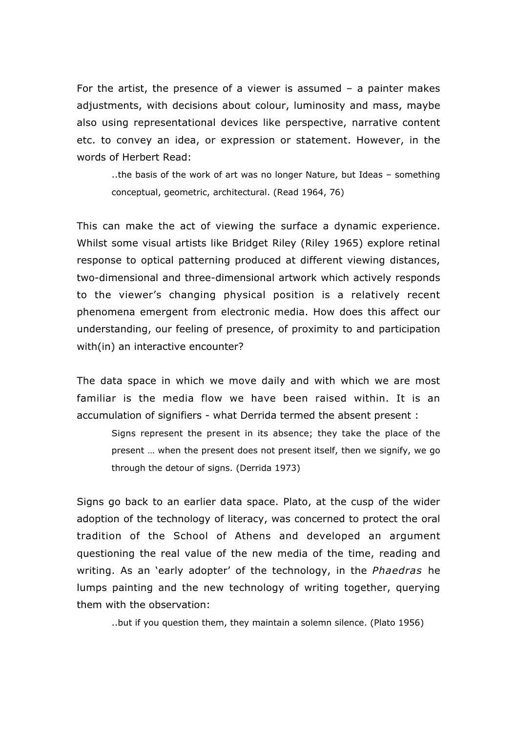For the artist, the presence of a viewer is assumed – a painter makes adjustments, with decisions about colour, luminosity and mass, maybe also using representational devices like perspective, narrative content etc. to convey an idea, or expression or statement. However, in the words of Herbert Read:

..the basis of the work of art was no longer Nature, but Ideas – something conceptual, geometric, architectural. (Read 1964, 76)

This can make the act of viewing the surface a dynamic experience. Whilst some visual artists like Bridget Riley (Riley 1965) explore retinal response to optical patterning produced at different viewing distances, two-dimensional and three-dimensional artwork which actively responds to the viewer's changing physical position is a relatively recent phenomena emergent from electronic media. How does this affect our understanding, our feeling of presence, of proximity to and participation with(in) an interactive encounter?

The data space in which we move daily and with which we are most familiar is the media flow we have been raised within. It is an accumulation of signifiers - what Derrida termed the absent present :

Signs represent the present in its absence; they take the place of the present … when the present does not present itself, then we signify, we go through the detour of signs. (Derrida 1973)

Signs go back to an earlier data space. Plato, at the cusp of the wider adoption of the technology of literacy, was concerned to protect the oral tradition of the School of Athens and developed an argument questioning the real value of the new media of the time, reading and writing. As an 'early adopter' of the technology, in the *Phaedras* he lumps painting and the new technology of writing together, querying them with the observation:

..but if you question them, they maintain a solemn silence. (Plato 1956)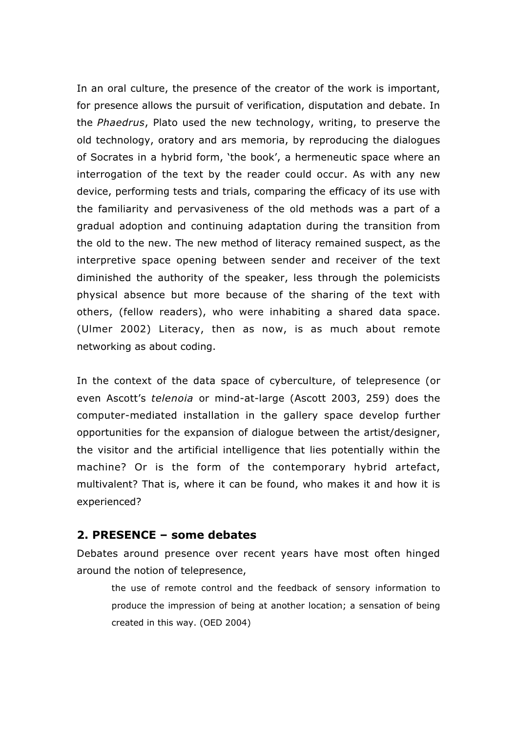In an oral culture, the presence of the creator of the work is important, for presence allows the pursuit of verification, disputation and debate. In the *Phaedrus*, Plato used the new technology, writing, to preserve the old technology, oratory and ars memoria, by reproducing the dialogues of Socrates in a hybrid form, 'the book', a hermeneutic space where an interrogation of the text by the reader could occur. As with any new device, performing tests and trials, comparing the efficacy of its use with the familiarity and pervasiveness of the old methods was a part of a gradual adoption and continuing adaptation during the transition from the old to the new. The new method of literacy remained suspect, as the interpretive space opening between sender and receiver of the text diminished the authority of the speaker, less through the polemicists physical absence but more because of the sharing of the text with others, (fellow readers), who were inhabiting a shared data space. (Ulmer 2002) Literacy, then as now, is as much about remote networking as about coding.

In the context of the data space of cyberculture, of telepresence (or even Ascott's *telenoia* or mind-at-large (Ascott 2003, 259) does the computer-mediated installation in the gallery space develop further opportunities for the expansion of dialogue between the artist/designer, the visitor and the artificial intelligence that lies potentially within the machine? Or is the form of the contemporary hybrid artefact, multivalent? That is, where it can be found, who makes it and how it is experienced?

## **2. PRESENCE – some debates**

Debates around presence over recent years have most often hinged around the notion of telepresence,

the use of remote control and the feedback of sensory information to produce the impression of being at another location; a sensation of being created in this way. (OED 2004)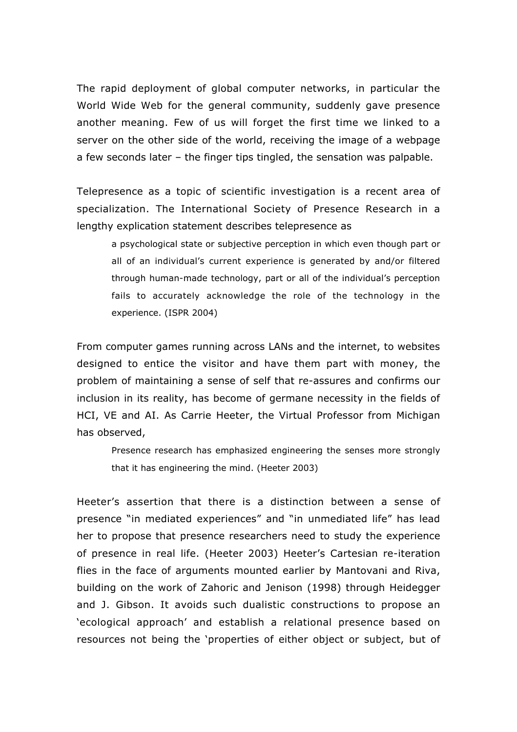The rapid deployment of global computer networks, in particular the World Wide Web for the general community, suddenly gave presence another meaning. Few of us will forget the first time we linked to a server on the other side of the world, receiving the image of a webpage a few seconds later – the finger tips tingled, the sensation was palpable.

Telepresence as a topic of scientific investigation is a recent area of specialization. The International Society of Presence Research in a lengthy explication statement describes telepresence as

a psychological state or subjective perception in which even though part or all of an individual's current experience is generated by and/or filtered through human-made technology, part or all of the individual's perception fails to accurately acknowledge the role of the technology in the experience. (ISPR 2004)

From computer games running across LANs and the internet, to websites designed to entice the visitor and have them part with money, the problem of maintaining a sense of self that re-assures and confirms our inclusion in its reality, has become of germane necessity in the fields of HCI, VE and AI. As Carrie Heeter, the Virtual Professor from Michigan has observed,

Presence research has emphasized engineering the senses more strongly that it has engineering the mind. (Heeter 2003)

Heeter's assertion that there is a distinction between a sense of presence "in mediated experiences" and "in unmediated life" has lead her to propose that presence researchers need to study the experience of presence in real life. (Heeter 2003) Heeter's Cartesian re-iteration flies in the face of arguments mounted earlier by Mantovani and Riva, building on the work of Zahoric and Jenison (1998) through Heidegger and J. Gibson. It avoids such dualistic constructions to propose an 'ecological approach' and establish a relational presence based on resources not being the 'properties of either object or subject, but of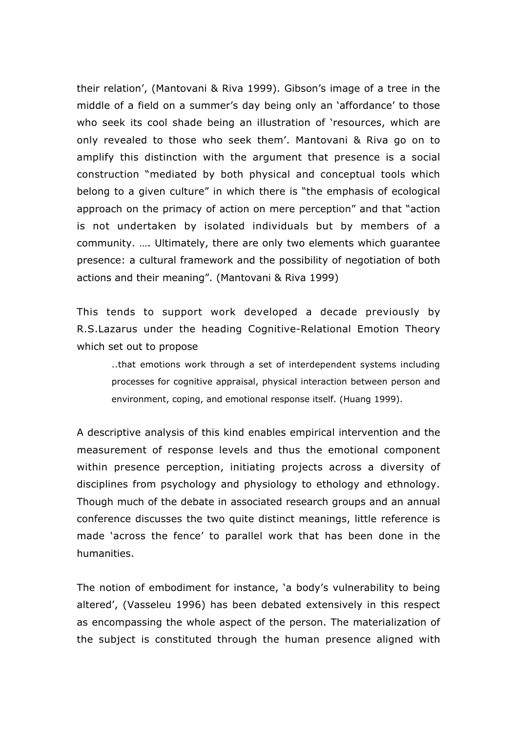their relation', (Mantovani & Riva 1999). Gibson's image of a tree in the middle of a field on a summer's day being only an 'affordance' to those who seek its cool shade being an illustration of 'resources, which are only revealed to those who seek them'. Mantovani & Riva go on to amplify this distinction with the argument that presence is a social construction "mediated by both physical and conceptual tools which belong to a given culture" in which there is "the emphasis of ecological approach on the primacy of action on mere perception" and that "action is not undertaken by isolated individuals but by members of a community. …. Ultimately, there are only two elements which guarantee presence: a cultural framework and the possibility of negotiation of both actions and their meaning". (Mantovani & Riva 1999)

This tends to support work developed a decade previously by R.S.Lazarus under the heading Cognitive-Relational Emotion Theory which set out to propose

..that emotions work through a set of interdependent systems including processes for cognitive appraisal, physical interaction between person and environment, coping, and emotional response itself. (Huang 1999).

A descriptive analysis of this kind enables empirical intervention and the measurement of response levels and thus the emotional component within presence perception, initiating projects across a diversity of disciplines from psychology and physiology to ethology and ethnology. Though much of the debate in associated research groups and an annual conference discusses the two quite distinct meanings, little reference is made 'across the fence' to parallel work that has been done in the humanities.

The notion of embodiment for instance, 'a body's vulnerability to being altered', (Vasseleu 1996) has been debated extensively in this respect as encompassing the whole aspect of the person. The materialization of the subject is constituted through the human presence aligned with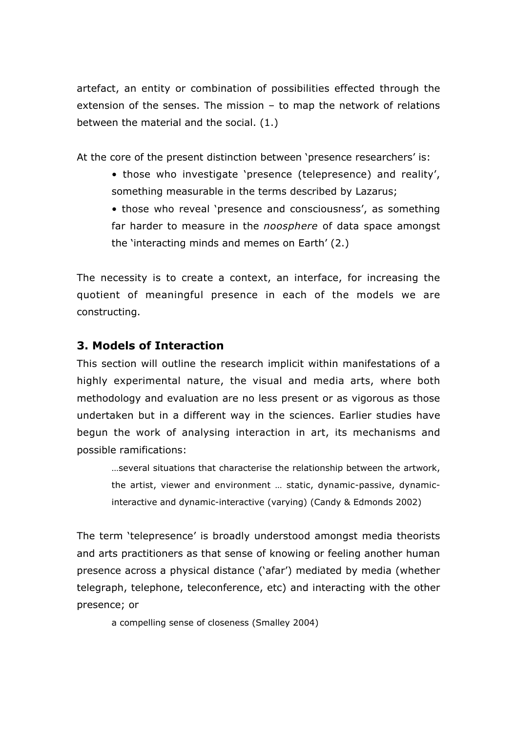artefact, an entity or combination of possibilities effected through the extension of the senses. The mission – to map the network of relations between the material and the social. (1.)

At the core of the present distinction between 'presence researchers' is:

- those who investigate 'presence (telepresence) and reality', something measurable in the terms described by Lazarus;
- those who reveal 'presence and consciousness', as something far harder to measure in the *noosphere* of data space amongst the 'interacting minds and memes on Earth' (2.)

The necessity is to create a context, an interface, for increasing the quotient of meaningful presence in each of the models we are constructing.

### **3. Models of Interaction**

This section will outline the research implicit within manifestations of a highly experimental nature, the visual and media arts, where both methodology and evaluation are no less present or as vigorous as those undertaken but in a different way in the sciences. Earlier studies have begun the work of analysing interaction in art, its mechanisms and possible ramifications:

…several situations that characterise the relationship between the artwork, the artist, viewer and environment … static, dynamic-passive, dynamicinteractive and dynamic-interactive (varying) (Candy & Edmonds 2002)

The term 'telepresence' is broadly understood amongst media theorists and arts practitioners as that sense of knowing or feeling another human presence across a physical distance ('afar') mediated by media (whether telegraph, telephone, teleconference, etc) and interacting with the other presence; or

a compelling sense of closeness (Smalley 2004)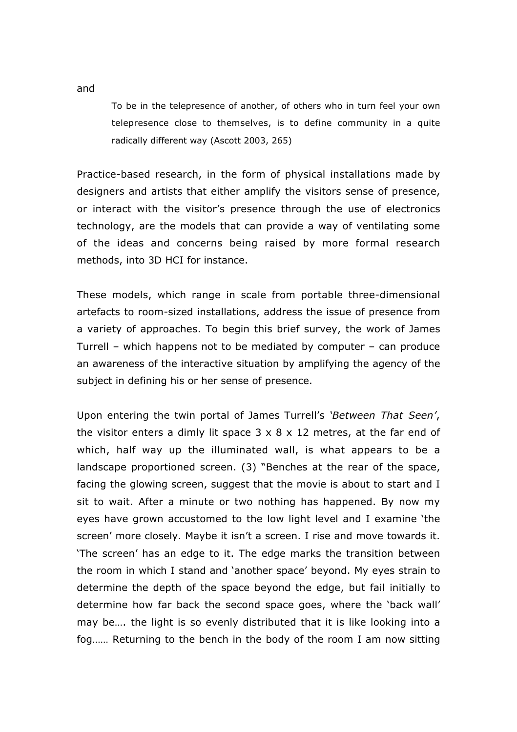To be in the telepresence of another, of others who in turn feel your own telepresence close to themselves, is to define community in a quite radically different way (Ascott 2003, 265)

Practice-based research, in the form of physical installations made by designers and artists that either amplify the visitors sense of presence, or interact with the visitor's presence through the use of electronics technology, are the models that can provide a way of ventilating some of the ideas and concerns being raised by more formal research methods, into 3D HCI for instance.

These models, which range in scale from portable three-dimensional artefacts to room-sized installations, address the issue of presence from a variety of approaches. To begin this brief survey, the work of James Turrell – which happens not to be mediated by computer – can produce an awareness of the interactive situation by amplifying the agency of the subject in defining his or her sense of presence.

Upon entering the twin portal of James Turrell's *'Between That Seen'*, the visitor enters a dimly lit space  $3 \times 8 \times 12$  metres, at the far end of which, half way up the illuminated wall, is what appears to be a landscape proportioned screen. (3) "Benches at the rear of the space, facing the glowing screen, suggest that the movie is about to start and I sit to wait. After a minute or two nothing has happened. By now my eyes have grown accustomed to the low light level and I examine 'the screen' more closely. Maybe it isn't a screen. I rise and move towards it. 'The screen' has an edge to it. The edge marks the transition between the room in which I stand and 'another space' beyond. My eyes strain to determine the depth of the space beyond the edge, but fail initially to determine how far back the second space goes, where the 'back wall' may be…. the light is so evenly distributed that it is like looking into a fog…… Returning to the bench in the body of the room I am now sitting

and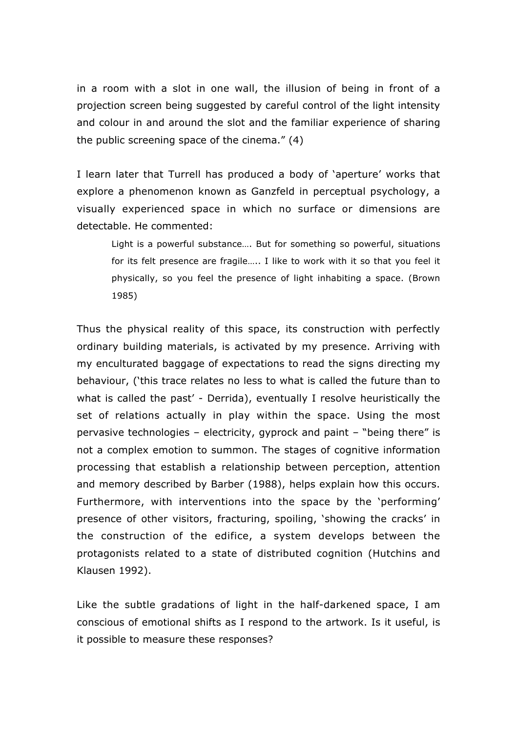in a room with a slot in one wall, the illusion of being in front of a projection screen being suggested by careful control of the light intensity and colour in and around the slot and the familiar experience of sharing the public screening space of the cinema." (4)

I learn later that Turrell has produced a body of 'aperture' works that explore a phenomenon known as Ganzfeld in perceptual psychology, a visually experienced space in which no surface or dimensions are detectable. He commented:

Light is a powerful substance…. But for something so powerful, situations for its felt presence are fragile….. I like to work with it so that you feel it physically, so you feel the presence of light inhabiting a space. (Brown 1985)

Thus the physical reality of this space, its construction with perfectly ordinary building materials, is activated by my presence. Arriving with my enculturated baggage of expectations to read the signs directing my behaviour, ('this trace relates no less to what is called the future than to what is called the past' - Derrida), eventually I resolve heuristically the set of relations actually in play within the space. Using the most pervasive technologies – electricity, gyprock and paint – "being there" is not a complex emotion to summon. The stages of cognitive information processing that establish a relationship between perception, attention and memory described by Barber (1988), helps explain how this occurs. Furthermore, with interventions into the space by the 'performing' presence of other visitors, fracturing, spoiling, 'showing the cracks' in the construction of the edifice, a system develops between the protagonists related to a state of distributed cognition (Hutchins and Klausen 1992).

Like the subtle gradations of light in the half-darkened space, I am conscious of emotional shifts as I respond to the artwork. Is it useful, is it possible to measure these responses?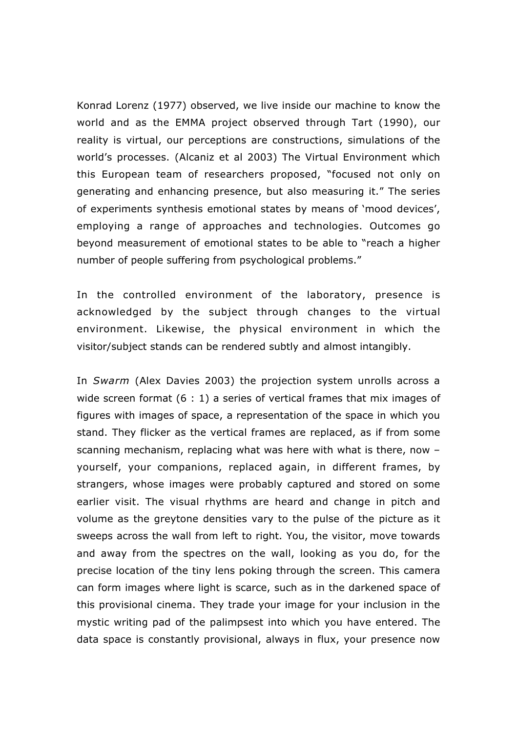Konrad Lorenz (1977) observed, we live inside our machine to know the world and as the EMMA project observed through Tart (1990), our reality is virtual, our perceptions are constructions, simulations of the world's processes. (Alcaniz et al 2003) The Virtual Environment which this European team of researchers proposed, "focused not only on generating and enhancing presence, but also measuring it." The series of experiments synthesis emotional states by means of 'mood devices', employing a range of approaches and technologies. Outcomes go beyond measurement of emotional states to be able to "reach a higher number of people suffering from psychological problems."

In the controlled environment of the laboratory, presence is acknowledged by the subject through changes to the virtual environment. Likewise, the physical environment in which the visitor/subject stands can be rendered subtly and almost intangibly.

In *Swarm* (Alex Davies 2003) the projection system unrolls across a wide screen format (6 : 1) a series of vertical frames that mix images of figures with images of space, a representation of the space in which you stand. They flicker as the vertical frames are replaced, as if from some scanning mechanism, replacing what was here with what is there, now – yourself, your companions, replaced again, in different frames, by strangers, whose images were probably captured and stored on some earlier visit. The visual rhythms are heard and change in pitch and volume as the greytone densities vary to the pulse of the picture as it sweeps across the wall from left to right. You, the visitor, move towards and away from the spectres on the wall, looking as you do, for the precise location of the tiny lens poking through the screen. This camera can form images where light is scarce, such as in the darkened space of this provisional cinema. They trade your image for your inclusion in the mystic writing pad of the palimpsest into which you have entered. The data space is constantly provisional, always in flux, your presence now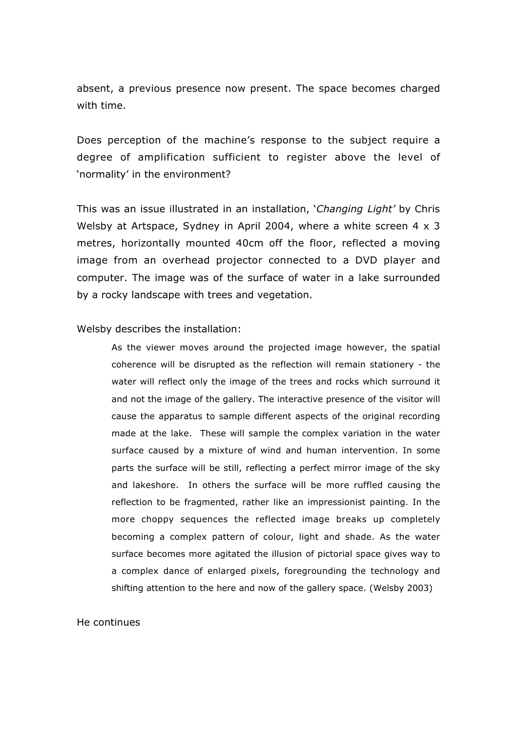absent, a previous presence now present. The space becomes charged with time.

Does perception of the machine's response to the subject require a degree of amplification sufficient to register above the level of 'normality' in the environment?

This was an issue illustrated in an installation, '*Changing Light'* by Chris Welsby at Artspace, Sydney in April 2004, where a white screen  $4 \times 3$ metres, horizontally mounted 40cm off the floor, reflected a moving image from an overhead projector connected to a DVD player and computer. The image was of the surface of water in a lake surrounded by a rocky landscape with trees and vegetation.

#### Welsby describes the installation:

As the viewer moves around the projected image however, the spatial coherence will be disrupted as the reflection will remain stationery - the water will reflect only the image of the trees and rocks which surround it and not the image of the gallery. The interactive presence of the visitor will cause the apparatus to sample different aspects of the original recording made at the lake. These will sample the complex variation in the water surface caused by a mixture of wind and human intervention. In some parts the surface will be still, reflecting a perfect mirror image of the sky and lakeshore. In others the surface will be more ruffled causing the reflection to be fragmented, rather like an impressionist painting. In the more choppy sequences the reflected image breaks up completely becoming a complex pattern of colour, light and shade. As the water surface becomes more agitated the illusion of pictorial space gives way to a complex dance of enlarged pixels, foregrounding the technology and shifting attention to the here and now of the gallery space. (Welsby 2003)

### He continues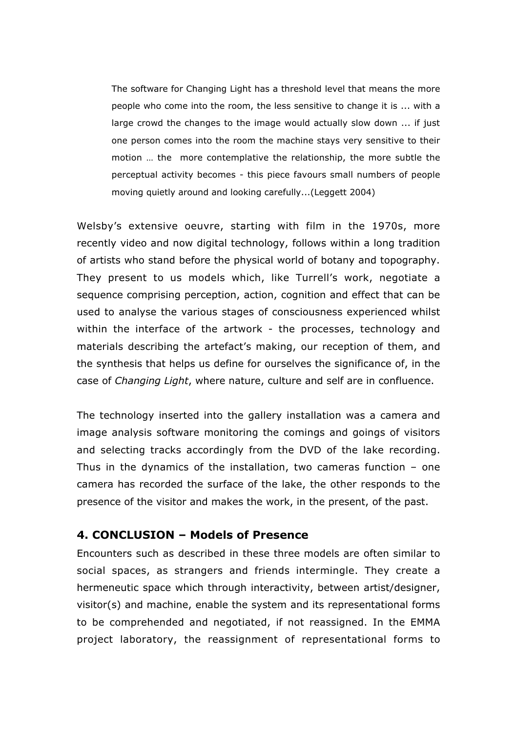The software for Changing Light has a threshold level that means the more people who come into the room, the less sensitive to change it is ... with a large crowd the changes to the image would actually slow down ... if just one person comes into the room the machine stays very sensitive to their motion … the more contemplative the relationship, the more subtle the perceptual activity becomes - this piece favours small numbers of people moving quietly around and looking carefully...(Leggett 2004)

Welsby's extensive oeuvre, starting with film in the 1970s, more recently video and now digital technology, follows within a long tradition of artists who stand before the physical world of botany and topography. They present to us models which, like Turrell's work, negotiate a sequence comprising perception, action, cognition and effect that can be used to analyse the various stages of consciousness experienced whilst within the interface of the artwork - the processes, technology and materials describing the artefact's making, our reception of them, and the synthesis that helps us define for ourselves the significance of, in the case of *Changing Light*, where nature, culture and self are in confluence.

The technology inserted into the gallery installation was a camera and image analysis software monitoring the comings and goings of visitors and selecting tracks accordingly from the DVD of the lake recording. Thus in the dynamics of the installation, two cameras function – one camera has recorded the surface of the lake, the other responds to the presence of the visitor and makes the work, in the present, of the past.

## **4. CONCLUSION – Models of Presence**

Encounters such as described in these three models are often similar to social spaces, as strangers and friends intermingle. They create a hermeneutic space which through interactivity, between artist/designer, visitor(s) and machine, enable the system and its representational forms to be comprehended and negotiated, if not reassigned. In the EMMA project laboratory, the reassignment of representational forms to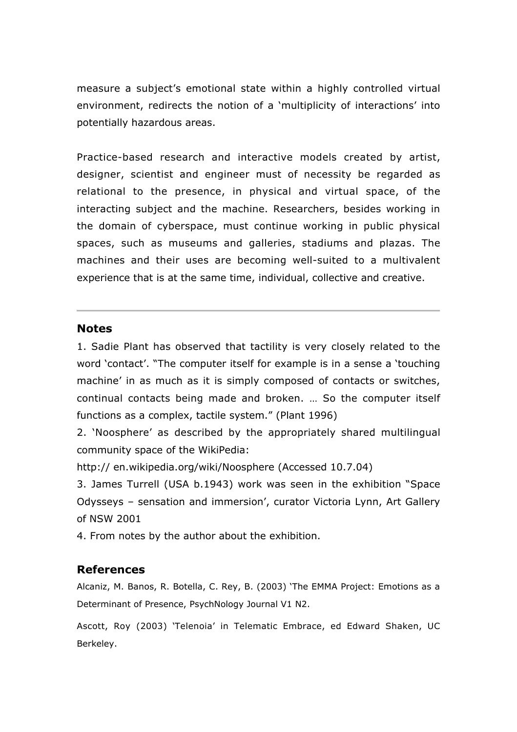measure a subject's emotional state within a highly controlled virtual environment, redirects the notion of a 'multiplicity of interactions' into potentially hazardous areas.

Practice-based research and interactive models created by artist, designer, scientist and engineer must of necessity be regarded as relational to the presence, in physical and virtual space, of the interacting subject and the machine. Researchers, besides working in the domain of cyberspace, must continue working in public physical spaces, such as museums and galleries, stadiums and plazas. The machines and their uses are becoming well-suited to a multivalent experience that is at the same time, individual, collective and creative.

### **Notes**

1. Sadie Plant has observed that tactility is very closely related to the word 'contact'. "The computer itself for example is in a sense a 'touching machine' in as much as it is simply composed of contacts or switches, continual contacts being made and broken. … So the computer itself functions as a complex, tactile system." (Plant 1996)

2. 'Noosphere' as described by the appropriately shared multilingual community space of the WikiPedia:

http:// en.wikipedia.org/wiki/Noosphere (Accessed 10.7.04)

3. James Turrell (USA b.1943) work was seen in the exhibition "Space Odysseys – sensation and immersion', curator Victoria Lynn, Art Gallery of NSW 2001

4. From notes by the author about the exhibition.

# **References**

Alcaniz, M. Banos, R. Botella, C. Rey, B. (2003) 'The EMMA Project: Emotions as a Determinant of Presence, PsychNology Journal V1 N2.

Ascott, Roy (2003) 'Telenoia' in Telematic Embrace, ed Edward Shaken, UC Berkeley.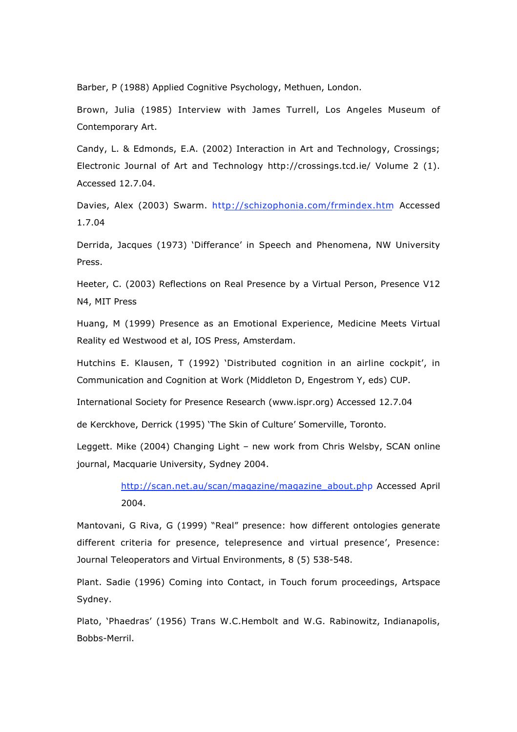Barber, P (1988) Applied Cognitive Psychology, Methuen, London.

Brown, Julia (1985) Interview with James Turrell, Los Angeles Museum of Contemporary Art.

Candy, L. & Edmonds, E.A. (2002) Interaction in Art and Technology, Crossings; Electronic Journal of Art and Technology http://crossings.tcd.ie/ Volume 2 (1). Accessed 12.7.04.

Davies, Alex (2003) Swarm. http://schizophonia.com/frmindex.htm Accessed 1.7.04

Derrida, Jacques (1973) 'Differance' in Speech and Phenomena, NW University Press.

Heeter, C. (2003) Reflections on Real Presence by a Virtual Person, Presence V12 N4, MIT Press

Huang, M (1999) Presence as an Emotional Experience, Medicine Meets Virtual Reality ed Westwood et al, IOS Press, Amsterdam.

Hutchins E. Klausen, T (1992) 'Distributed cognition in an airline cockpit', in Communication and Cognition at Work (Middleton D, Engestrom Y, eds) CUP.

International Society for Presence Research (www.ispr.org) Accessed 12.7.04

de Kerckhove, Derrick (1995) 'The Skin of Culture' Somerville, Toronto.

Leggett. Mike (2004) Changing Light – new work from Chris Welsby, SCAN online journal, Macquarie University, Sydney 2004.

> http://scan.net.au/scan/magazine/magazine\_about.php Accessed April 2004.

Mantovani, G Riva, G (1999) "Real" presence: how different ontologies generate different criteria for presence, telepresence and virtual presence', Presence: Journal Teleoperators and Virtual Environments, 8 (5) 538-548.

Plant. Sadie (1996) Coming into Contact, in Touch forum proceedings, Artspace Sydney.

Plato, 'Phaedras' (1956) Trans W.C.Hembolt and W.G. Rabinowitz, Indianapolis, Bobbs-Merril.